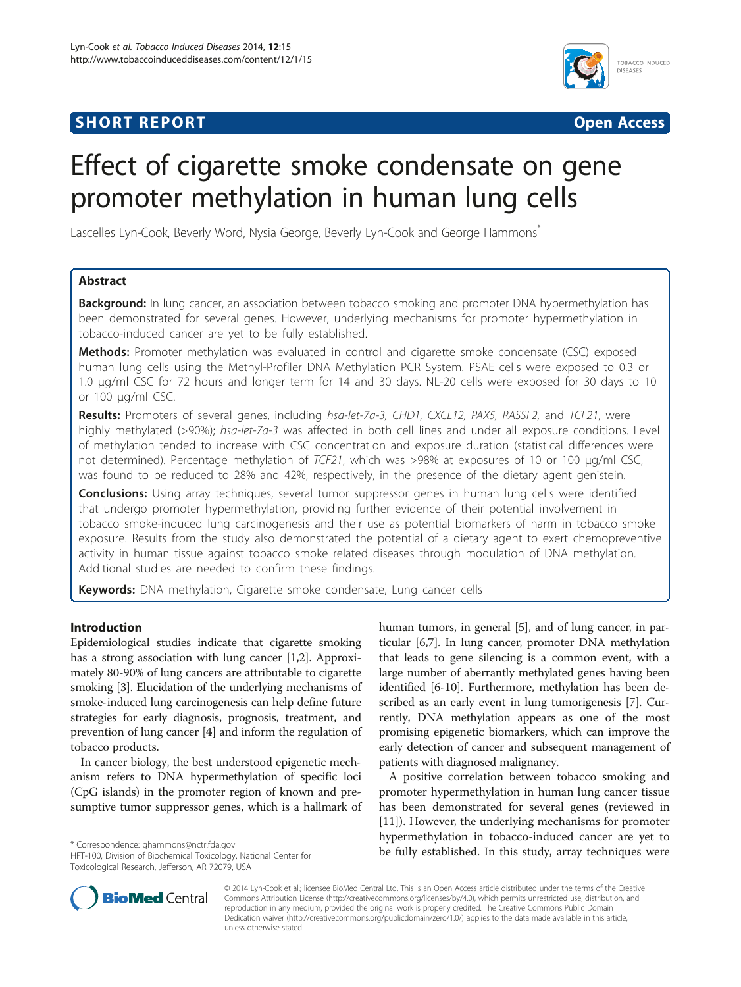# **SHORT REPORT SHORT CONSUMING THE SHORT CONSUMING THE SHORT CONSUMING THE SHORT CONSUMING THE SHORT CONSUMING THE SHORT CONSUMING THE SHORT CONSUMING THE SHORT CONSUMING THE SHORT CONSUMING THE SHORT CONSUMING THE SHORT**



# Effect of cigarette smoke condensate on gene promoter methylation in human lung cells

Lascelles Lyn-Cook, Beverly Word, Nysia George, Beverly Lyn-Cook and George Hammons<sup>\*</sup>

# Abstract

**Background:** In lung cancer, an association between tobacco smoking and promoter DNA hypermethylation has been demonstrated for several genes. However, underlying mechanisms for promoter hypermethylation in tobacco-induced cancer are yet to be fully established.

**Methods:** Promoter methylation was evaluated in control and cigarette smoke condensate (CSC) exposed human lung cells using the Methyl-Profiler DNA Methylation PCR System. PSAE cells were exposed to 0.3 or 1.0 μg/ml CSC for 72 hours and longer term for 14 and 30 days. NL-20 cells were exposed for 30 days to 10 or 100 μg/ml CSC.

Results: Promoters of several genes, including hsa-let-7a-3, CHD1, CXCL12, PAX5, RASSF2, and TCF21, were highly methylated (>90%); hsa-let-7a-3 was affected in both cell lines and under all exposure conditions. Level of methylation tended to increase with CSC concentration and exposure duration (statistical differences were not determined). Percentage methylation of TCF21, which was >98% at exposures of 10 or 100 μg/ml CSC, was found to be reduced to 28% and 42%, respectively, in the presence of the dietary agent genistein.

**Conclusions:** Using array techniques, several tumor suppressor genes in human lung cells were identified that undergo promoter hypermethylation, providing further evidence of their potential involvement in tobacco smoke-induced lung carcinogenesis and their use as potential biomarkers of harm in tobacco smoke exposure. Results from the study also demonstrated the potential of a dietary agent to exert chemopreventive activity in human tissue against tobacco smoke related diseases through modulation of DNA methylation. Additional studies are needed to confirm these findings.

Keywords: DNA methylation, Cigarette smoke condensate, Lung cancer cells

# Introduction

Epidemiological studies indicate that cigarette smoking has a strong association with lung cancer [[1,2](#page-4-0)]. Approximately 80-90% of lung cancers are attributable to cigarette smoking [[3\]](#page-4-0). Elucidation of the underlying mechanisms of smoke-induced lung carcinogenesis can help define future strategies for early diagnosis, prognosis, treatment, and prevention of lung cancer [[4](#page-4-0)] and inform the regulation of tobacco products.

In cancer biology, the best understood epigenetic mechanism refers to DNA hypermethylation of specific loci (CpG islands) in the promoter region of known and presumptive tumor suppressor genes, which is a hallmark of

HFT-100, Division of Biochemical Toxicology, National Center for Toxicological Research, Jefferson, AR 72079, USA



A positive correlation between tobacco smoking and promoter hypermethylation in human lung cancer tissue has been demonstrated for several genes (reviewed in [[11\]](#page-5-0)). However, the underlying mechanisms for promoter hypermethylation in tobacco-induced cancer are yet to \* Correspondence: [ghammons@nctr.fda.gov](mailto:ghammons@nctr.fda.gov)<br>
be fully established. In this study, array techniques were<br>
be fully established. In this study, array techniques were



© 2014 Lyn-Cook et al.; licensee BioMed Central Ltd. This is an Open Access article distributed under the terms of the Creative Commons Attribution License [\(http://creativecommons.org/licenses/by/4.0\)](http://creativecommons.org/licenses/by/4.0), which permits unrestricted use, distribution, and reproduction in any medium, provided the original work is properly credited. The Creative Commons Public Domain Dedication waiver [\(http://creativecommons.org/publicdomain/zero/1.0/](http://creativecommons.org/publicdomain/zero/1.0/)) applies to the data made available in this article, unless otherwise stated.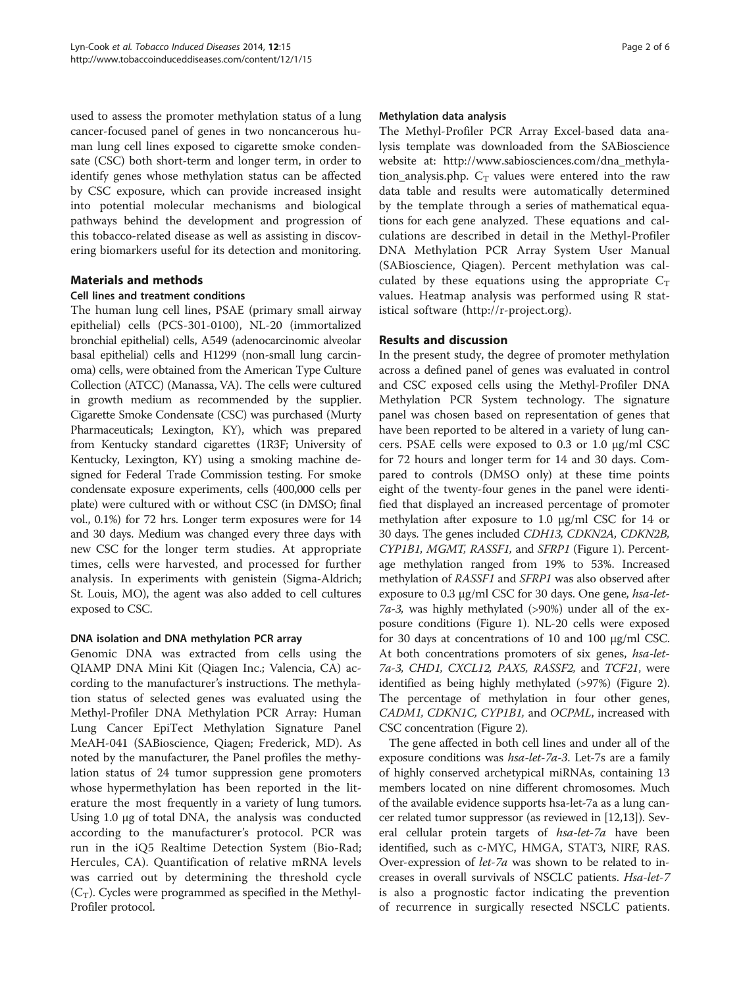used to assess the promoter methylation status of a lung cancer-focused panel of genes in two noncancerous human lung cell lines exposed to cigarette smoke condensate (CSC) both short-term and longer term, in order to identify genes whose methylation status can be affected by CSC exposure, which can provide increased insight into potential molecular mechanisms and biological pathways behind the development and progression of this tobacco-related disease as well as assisting in discovering biomarkers useful for its detection and monitoring.

# Materials and methods

# Cell lines and treatment conditions

The human lung cell lines, PSAE (primary small airway epithelial) cells (PCS-301-0100), NL-20 (immortalized bronchial epithelial) cells, A549 (adenocarcinomic alveolar basal epithelial) cells and H1299 (non-small lung carcinoma) cells, were obtained from the American Type Culture Collection (ATCC) (Manassa, VA). The cells were cultured in growth medium as recommended by the supplier. Cigarette Smoke Condensate (CSC) was purchased (Murty Pharmaceuticals; Lexington, KY), which was prepared from Kentucky standard cigarettes (1R3F; University of Kentucky, Lexington, KY) using a smoking machine designed for Federal Trade Commission testing. For smoke condensate exposure experiments, cells (400,000 cells per plate) were cultured with or without CSC (in DMSO; final vol., 0.1%) for 72 hrs. Longer term exposures were for 14 and 30 days. Medium was changed every three days with new CSC for the longer term studies. At appropriate times, cells were harvested, and processed for further analysis. In experiments with genistein (Sigma-Aldrich; St. Louis, MO), the agent was also added to cell cultures exposed to CSC.

# DNA isolation and DNA methylation PCR array

Genomic DNA was extracted from cells using the QIAMP DNA Mini Kit (Qiagen Inc.; Valencia, CA) according to the manufacturer's instructions. The methylation status of selected genes was evaluated using the Methyl-Profiler DNA Methylation PCR Array: Human Lung Cancer EpiTect Methylation Signature Panel MeAH-041 (SABioscience, Qiagen; Frederick, MD). As noted by the manufacturer, the Panel profiles the methylation status of 24 tumor suppression gene promoters whose hypermethylation has been reported in the literature the most frequently in a variety of lung tumors. Using 1.0 μg of total DNA, the analysis was conducted according to the manufacturer's protocol. PCR was run in the iQ5 Realtime Detection System (Bio-Rad; Hercules, CA). Quantification of relative mRNA levels was carried out by determining the threshold cycle  $(C_T)$ . Cycles were programmed as specified in the Methyl-Profiler protocol.

#### Methylation data analysis

The Methyl-Profiler PCR Array Excel-based data analysis template was downloaded from the SABioscience website at: [http://www.sabiosciences.com/dna\\_methyla](http://www.sabiosciences.com/dna_methylation_analysis.php)[tion\\_analysis.php.](http://www.sabiosciences.com/dna_methylation_analysis.php)  $C_T$  values were entered into the raw data table and results were automatically determined by the template through a series of mathematical equations for each gene analyzed. These equations and calculations are described in detail in the Methyl-Profiler DNA Methylation PCR Array System User Manual (SABioscience, Qiagen). Percent methylation was calculated by these equations using the appropriate  $C_T$ values. Heatmap analysis was performed using R statistical software ([http://r-project.org](http://r-project.org/)).

#### Results and discussion

In the present study, the degree of promoter methylation across a defined panel of genes was evaluated in control and CSC exposed cells using the Methyl-Profiler DNA Methylation PCR System technology. The signature panel was chosen based on representation of genes that have been reported to be altered in a variety of lung cancers. PSAE cells were exposed to 0.3 or 1.0 μg/ml CSC for 72 hours and longer term for 14 and 30 days. Compared to controls (DMSO only) at these time points eight of the twenty-four genes in the panel were identified that displayed an increased percentage of promoter methylation after exposure to 1.0 μg/ml CSC for 14 or 30 days. The genes included CDH13, CDKN2A, CDKN2B, CYP1B1, MGMT, RASSF1, and SFRP1 (Figure [1\)](#page-2-0). Percentage methylation ranged from 19% to 53%. Increased methylation of RASSF1 and SFRP1 was also observed after exposure to 0.3 μg/ml CSC for 30 days. One gene, hsa-let-7a-3, was highly methylated (>90%) under all of the exposure conditions (Figure [1\)](#page-2-0). NL-20 cells were exposed for 30 days at concentrations of 10 and 100 μg/ml CSC. At both concentrations promoters of six genes, *hsa-let-*7a-3, CHD1, CXCL12, PAX5, RASSF2, and TCF21, were identified as being highly methylated (>97%) (Figure [2](#page-3-0)). The percentage of methylation in four other genes, CADM1, CDKN1C, CYP1B1, and OCPML, increased with CSC concentration (Figure [2](#page-3-0)).

The gene affected in both cell lines and under all of the exposure conditions was *hsa-let-7a-3*. Let-7s are a family of highly conserved archetypical miRNAs, containing 13 members located on nine different chromosomes. Much of the available evidence supports hsa-let-7a as a lung cancer related tumor suppressor (as reviewed in [[12,13](#page-5-0)]). Several cellular protein targets of hsa-let-7a have been identified, such as c-MYC, HMGA, STAT3, NIRF, RAS. Over-expression of let-7a was shown to be related to increases in overall survivals of NSCLC patients. Hsa-let-7 is also a prognostic factor indicating the prevention of recurrence in surgically resected NSCLC patients.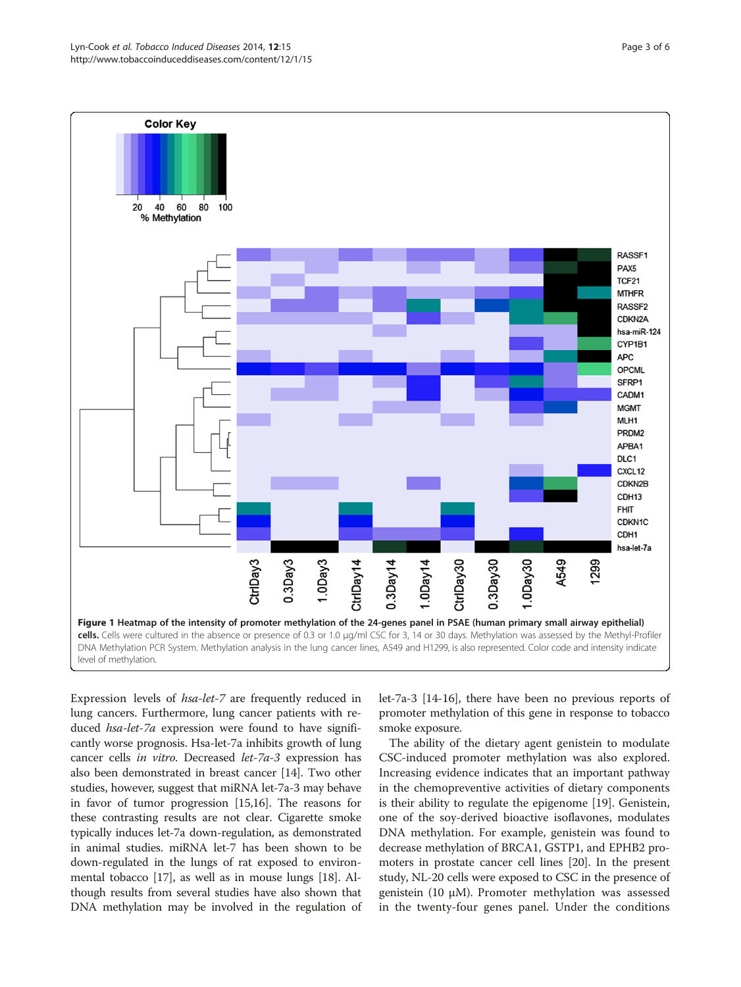<span id="page-2-0"></span>

Expression levels of hsa-let-7 are frequently reduced in lung cancers. Furthermore, lung cancer patients with reduced hsa-let-7a expression were found to have significantly worse prognosis. Hsa-let-7a inhibits growth of lung cancer cells in vitro. Decreased let-7a-3 expression has also been demonstrated in breast cancer [\[14\]](#page-5-0). Two other studies, however, suggest that miRNA let-7a-3 may behave in favor of tumor progression [[15,16](#page-5-0)]. The reasons for these contrasting results are not clear. Cigarette smoke typically induces let-7a down-regulation, as demonstrated in animal studies. miRNA let-7 has been shown to be down-regulated in the lungs of rat exposed to environmental tobacco [\[17\]](#page-5-0), as well as in mouse lungs [\[18\]](#page-5-0). Although results from several studies have also shown that DNA methylation may be involved in the regulation of let-7a-3 [[14](#page-5-0)-[16](#page-5-0)], there have been no previous reports of promoter methylation of this gene in response to tobacco smoke exposure.

The ability of the dietary agent genistein to modulate CSC-induced promoter methylation was also explored. Increasing evidence indicates that an important pathway in the chemopreventive activities of dietary components is their ability to regulate the epigenome [\[19\]](#page-5-0). Genistein, one of the soy-derived bioactive isoflavones, modulates DNA methylation. For example, genistein was found to decrease methylation of BRCA1, GSTP1, and EPHB2 promoters in prostate cancer cell lines [\[20\]](#page-5-0). In the present study, NL-20 cells were exposed to CSC in the presence of genistein (10 μM). Promoter methylation was assessed in the twenty-four genes panel. Under the conditions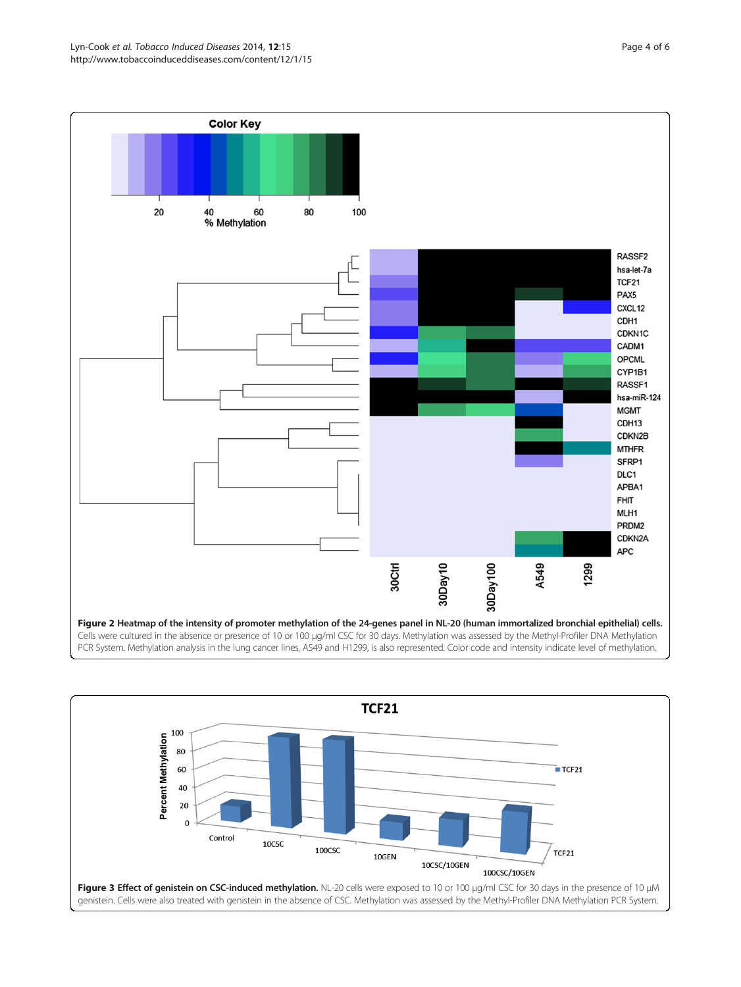<span id="page-3-0"></span>

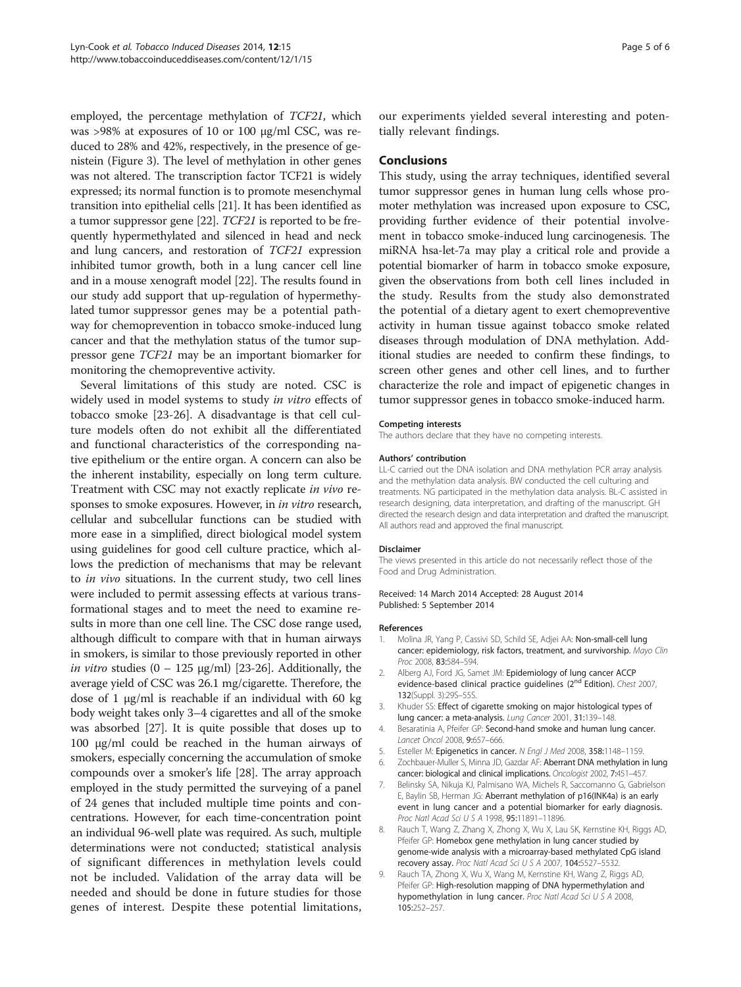<span id="page-4-0"></span>employed, the percentage methylation of TCF21, which was >98% at exposures of 10 or 100 μg/ml CSC, was reduced to 28% and 42%, respectively, in the presence of genistein (Figure [3\)](#page-3-0). The level of methylation in other genes was not altered. The transcription factor TCF21 is widely expressed; its normal function is to promote mesenchymal transition into epithelial cells [\[21\]](#page-5-0). It has been identified as a tumor suppressor gene [\[22\]](#page-5-0). TCF21 is reported to be frequently hypermethylated and silenced in head and neck and lung cancers, and restoration of TCF21 expression inhibited tumor growth, both in a lung cancer cell line and in a mouse xenograft model [[22](#page-5-0)]. The results found in our study add support that up-regulation of hypermethylated tumor suppressor genes may be a potential pathway for chemoprevention in tobacco smoke-induced lung cancer and that the methylation status of the tumor suppressor gene TCF21 may be an important biomarker for monitoring the chemopreventive activity.

Several limitations of this study are noted. CSC is widely used in model systems to study in vitro effects of tobacco smoke [\[23-26](#page-5-0)]. A disadvantage is that cell culture models often do not exhibit all the differentiated and functional characteristics of the corresponding native epithelium or the entire organ. A concern can also be the inherent instability, especially on long term culture. Treatment with CSC may not exactly replicate in vivo responses to smoke exposures. However, in in vitro research, cellular and subcellular functions can be studied with more ease in a simplified, direct biological model system using guidelines for good cell culture practice, which allows the prediction of mechanisms that may be relevant to in vivo situations. In the current study, two cell lines were included to permit assessing effects at various transformational stages and to meet the need to examine results in more than one cell line. The CSC dose range used, although difficult to compare with that in human airways in smokers, is similar to those previously reported in other *in vitro* studies  $(0 - 125 \text{ µg/ml})$  [\[23-26\]](#page-5-0). Additionally, the average yield of CSC was 26.1 mg/cigarette. Therefore, the dose of 1 μg/ml is reachable if an individual with 60 kg body weight takes only 3–4 cigarettes and all of the smoke was absorbed [[27](#page-5-0)]. It is quite possible that doses up to 100 μg/ml could be reached in the human airways of smokers, especially concerning the accumulation of smoke compounds over a smoker's life [\[28\]](#page-5-0). The array approach employed in the study permitted the surveying of a panel of 24 genes that included multiple time points and concentrations. However, for each time-concentration point an individual 96-well plate was required. As such, multiple determinations were not conducted; statistical analysis of significant differences in methylation levels could not be included. Validation of the array data will be needed and should be done in future studies for those genes of interest. Despite these potential limitations,

our experiments yielded several interesting and potentially relevant findings.

#### **Conclusions**

This study, using the array techniques, identified several tumor suppressor genes in human lung cells whose promoter methylation was increased upon exposure to CSC, providing further evidence of their potential involvement in tobacco smoke-induced lung carcinogenesis. The miRNA hsa-let-7a may play a critical role and provide a potential biomarker of harm in tobacco smoke exposure, given the observations from both cell lines included in the study. Results from the study also demonstrated the potential of a dietary agent to exert chemopreventive activity in human tissue against tobacco smoke related diseases through modulation of DNA methylation. Additional studies are needed to confirm these findings, to screen other genes and other cell lines, and to further characterize the role and impact of epigenetic changes in tumor suppressor genes in tobacco smoke-induced harm.

#### Competing interests

The authors declare that they have no competing interests.

#### Authors' contribution

LL-C carried out the DNA isolation and DNA methylation PCR array analysis and the methylation data analysis. BW conducted the cell culturing and treatments. NG participated in the methylation data analysis. BL-C assisted in research designing, data interpretation, and drafting of the manuscript. GH directed the research design and data interpretation and drafted the manuscript. All authors read and approved the final manuscript.

#### Disclaimer

The views presented in this article do not necessarily reflect those of the Food and Drug Administration.

#### Received: 14 March 2014 Accepted: 28 August 2014 Published: 5 September 2014

#### References

- 1. Molina JR, Yang P, Cassivi SD, Schild SE, Adjei AA: Non-small-cell lung cancer: epidemiology, risk factors, treatment, and survivorship. Mayo Clin Proc 2008, 83:584–594.
- 2. Alberg AJ, Ford JG, Samet JM: Epidemiology of lung cancer ACCP evidence-based clinical practice guidelines (2<sup>nd</sup> Edition). Chest 2007, 132(Suppl. 3):29S–55S.
- 3. Khuder SS: Effect of cigarette smoking on major histological types of lung cancer: a meta-analysis. Lung Cancer 2001, 31:139–148.
- Besaratinia A, Pfeifer GP: Second-hand smoke and human lung cancer. Lancet Oncol 2008, 9:657–666.
- 5. Esteller M: Epigenetics in cancer. N Engl J Med 2008, 358:1148–1159.
- 6. Zochbauer-Muller S, Minna JD, Gazdar AF: Aberrant DNA methylation in lung cancer: biological and clinical implications. Oncologist 2002, 7:451–457.
- 7. Belinsky SA, Nikuja KJ, Palmisano WA, Michels R, Saccomanno G, Gabrielson E, Baylin SB, Herman JG: Aberrant methylation of p16(INK4a) is an early event in lung cancer and a potential biomarker for early diagnosis. Proc Natl Acad Sci U S A 1998, 95:11891–11896.
- 8. Rauch T, Wang Z, Zhang X, Zhong X, Wu X, Lau SK, Kernstine KH, Riggs AD, Pfeifer GP: Homebox gene methylation in lung cancer studied by genome-wide analysis with a microarray-based methylated CpG island recovery assay. Proc Natl Acad Sci U S A 2007, 104:5527–5532.
- 9. Rauch TA, Zhong X, Wu X, Wang M, Kernstine KH, Wang Z, Riggs AD, Pfeifer GP: High-resolution mapping of DNA hypermethylation and hypomethylation in lung cancer. Proc Natl Acad Sci U S A 2008, 105:252–257.